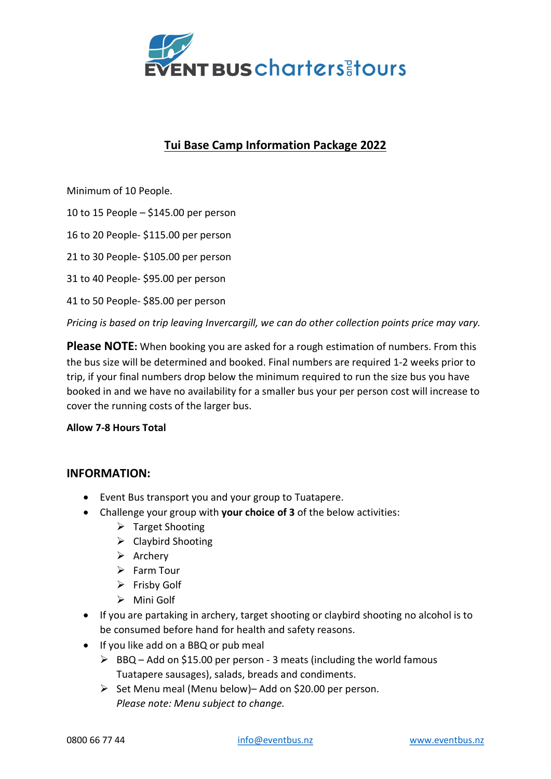

# Tui Base Camp Information Package 2022

Minimum of 10 People.

10 to 15 People – \$145.00 per person

16 to 20 People- \$115.00 per person

21 to 30 People- \$105.00 per person

31 to 40 People- \$95.00 per person

41 to 50 People- \$85.00 per person

Pricing is based on trip leaving Invercargill, we can do other collection points price may vary.

**Please NOTE:** When booking you are asked for a rough estimation of numbers. From this the bus size will be determined and booked. Final numbers are required 1-2 weeks prior to trip, if your final numbers drop below the minimum required to run the size bus you have booked in and we have no availability for a smaller bus your per person cost will increase to cover the running costs of the larger bus.

#### Allow 7-8 Hours Total

# INFORMATION:

- Event Bus transport you and your group to Tuatapere.
- Challenge your group with your choice of 3 of the below activities:
	- $\triangleright$  Target Shooting
	- $\triangleright$  Claybird Shooting
	- $\triangleright$  Archery
	- $\triangleright$  Farm Tour
	- $\triangleright$  Frisby Golf
	- $\triangleright$  Mini Golf
- If you are partaking in archery, target shooting or claybird shooting no alcohol is to be consumed before hand for health and safety reasons.
- If you like add on a BBQ or pub meal
	- $\triangleright$  BBQ Add on \$15.00 per person 3 meats (including the world famous Tuatapere sausages), salads, breads and condiments.
	- $\triangleright$  Set Menu meal (Menu below)– Add on \$20.00 per person. Please note: Menu subject to change.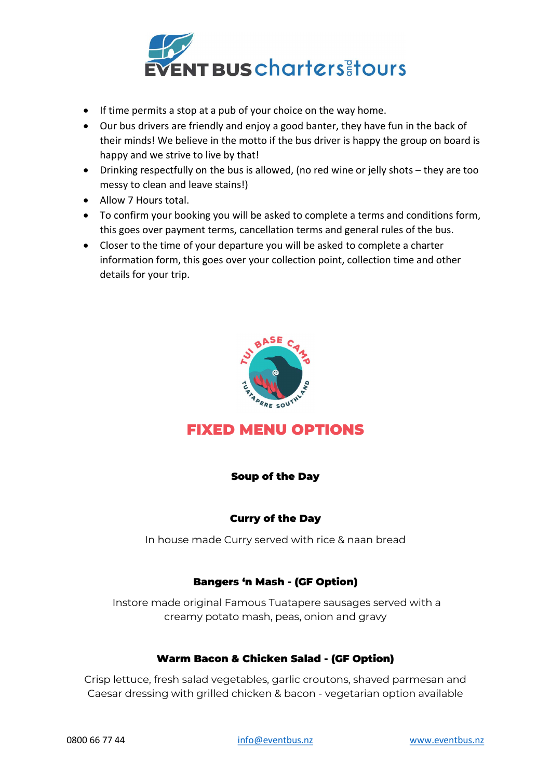

- If time permits a stop at a pub of your choice on the way home.
- Our bus drivers are friendly and enjoy a good banter, they have fun in the back of their minds! We believe in the motto if the bus driver is happy the group on board is happy and we strive to live by that!
- Drinking respectfully on the bus is allowed, (no red wine or jelly shots they are too messy to clean and leave stains!)
- Allow 7 Hours total.
- To confirm your booking you will be asked to complete a terms and conditions form, this goes over payment terms, cancellation terms and general rules of the bus.
- Closer to the time of your departure you will be asked to complete a charter information form, this goes over your collection point, collection time and other details for your trip.



# FIXED MENU OPTIONS

# Soup of the Day

# Curry of the Day

In house made Curry served with rice & naan bread

#### Bangers 'n Mash - (GF Option)

 Instore made original Famous Tuatapere sausages served with a creamy potato mash, peas, onion and gravy

#### Warm Bacon & Chicken Salad - (GF Option)

Crisp lettuce, fresh salad vegetables, garlic croutons, shaved parmesan and Caesar dressing with grilled chicken & bacon - vegetarian option available

0800 66 77 44 **info@eventbus.nz** www.eventbus.nz